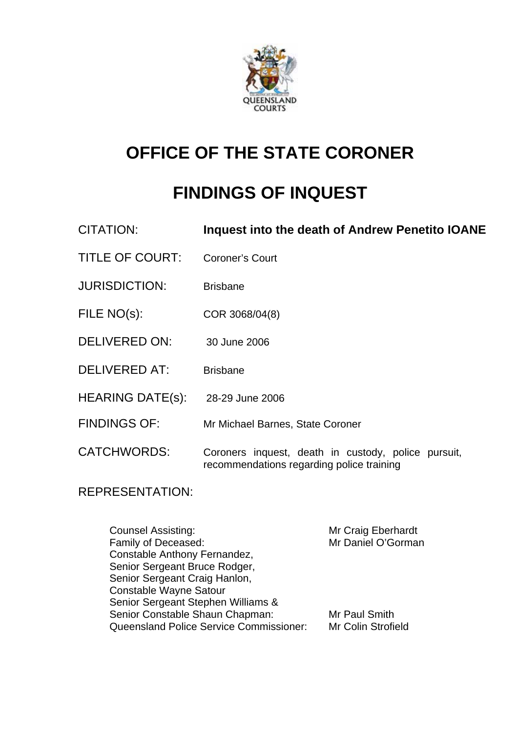

# **OFFICE OF THE STATE CORONER**

# **FINDINGS OF INQUEST**

| Inquest into the death of Andrew Penetito IOANE |
|-------------------------------------------------|
|                                                 |

- TITLE OF COURT: Coroner's Court
- JURISDICTION: Brisbane
- FILE NO(s): COR 3068/04(8)
- DELIVERED ON: 30 June 2006
- DELIVERED AT: Brisbane
- HEARING DATE(s): 28-29 June 2006
- FINDINGS OF: Mr Michael Barnes, State Coroner

CATCHWORDS: Coroners inquest, death in custody, police pursuit, recommendations regarding police training

# REPRESENTATION:

Counsel Assisting: The Mr Craig Eberhardt Family of Deceased: Mr Daniel O'Gorman Constable Anthony Fernandez, Senior Sergeant Bruce Rodger, Senior Sergeant Craig Hanlon, Constable Wayne Satour Senior Sergeant Stephen Williams & Senior Constable Shaun Chapman: Mr Paul Smith Queensland Police Service Commissioner: Mr Colin Strofield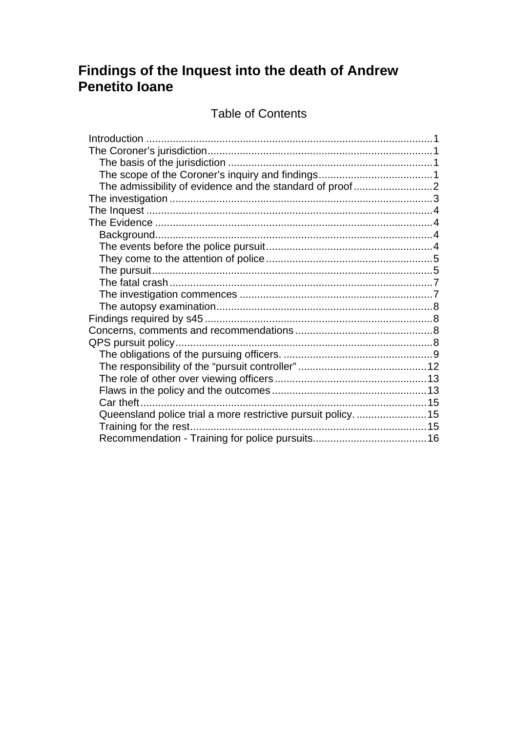# Findings of the Inquest into the death of Andrew Penetito Ioane

# **Table of Contents**

| Queensland police trial a more restrictive pursuit policy15 |  |
|-------------------------------------------------------------|--|
|                                                             |  |
|                                                             |  |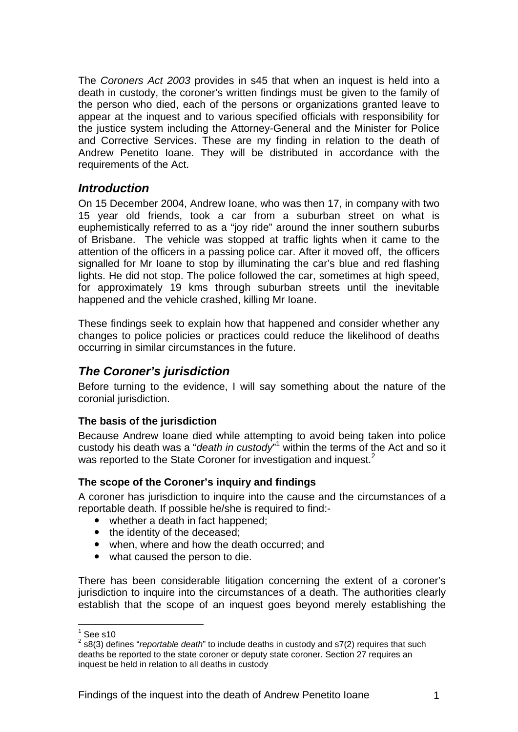The *Coroners Act 2003* provides in s45 that when an inquest is held into a death in custody, the coroner's written findings must be given to the family of the person who died, each of the persons or organizations granted leave to appear at the inquest and to various specified officials with responsibility for the justice system including the Attorney-General and the Minister for Police and Corrective Services. These are my finding in relation to the death of Andrew Penetito Ioane. They will be distributed in accordance with the requirements of the Act.

### *Introduction*

On 15 December 2004, Andrew Ioane, who was then 17, in company with two 15 year old friends, took a car from a suburban street on what is euphemistically referred to as a "joy ride" around the inner southern suburbs of Brisbane. The vehicle was stopped at traffic lights when it came to the attention of the officers in a passing police car. After it moved off, the officers signalled for Mr Ioane to stop by illuminating the car's blue and red flashing lights. He did not stop. The police followed the car, sometimes at high speed, for approximately 19 kms through suburban streets until the inevitable happened and the vehicle crashed, killing Mr Ioane.

These findings seek to explain how that happened and consider whether any changes to police policies or practices could reduce the likelihood of deaths occurring in similar circumstances in the future.

# *The Coroner's jurisdiction*

Before turning to the evidence, I will say something about the nature of the coronial jurisdiction.

#### **The basis of the jurisdiction**

Because Andrew Ioane died while attempting to avoid being taken into police custody his death was a "*death in custody*"<sup>1</sup> within the terms of the Act and so it was reported to the State Coroner for investigation and inquest.<sup>2</sup>

#### **The scope of the Coroner's inquiry and findings**

A coroner has jurisdiction to inquire into the cause and the circumstances of a reportable death. If possible he/she is required to find:-

- whether a death in fact happened;
- the identity of the deceased;
- when, where and how the death occurred; and
- what caused the person to die.

There has been considerable litigation concerning the extent of a coroner's jurisdiction to inquire into the circumstances of a death. The authorities clearly establish that the scope of an inquest goes beyond merely establishing the

 $\frac{1}{1}$ See s10

<sup>2</sup> s8(3) defines "*reportable death*" to include deaths in custody and s7(2) requires that such deaths be reported to the state coroner or deputy state coroner. Section 27 requires an inquest be held in relation to all deaths in custody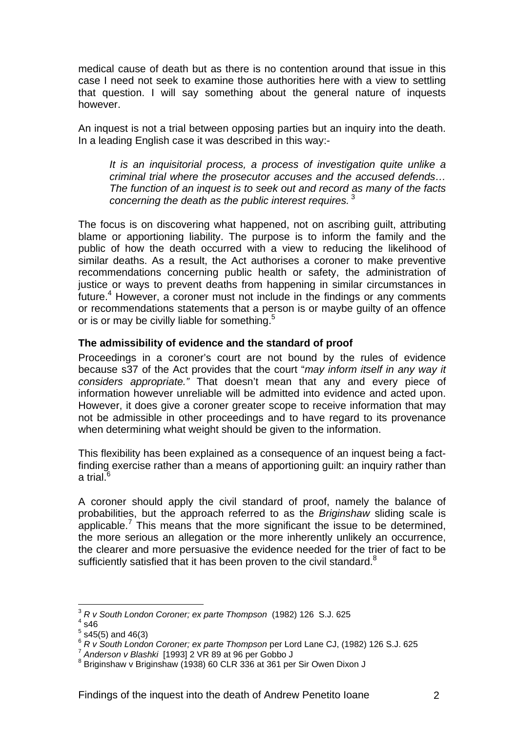medical cause of death but as there is no contention around that issue in this case I need not seek to examine those authorities here with a view to settling that question. I will say something about the general nature of inquests however.

An inquest is not a trial between opposing parties but an inquiry into the death. In a leading English case it was described in this way:-

*It is an inquisitorial process, a process of investigation quite unlike a criminal trial where the prosecutor accuses and the accused defends… The function of an inquest is to seek out and record as many of the facts concerning the death as the public interest requires.*<sup>3</sup>

The focus is on discovering what happened, not on ascribing guilt, attributing blame or apportioning liability. The purpose is to inform the family and the public of how the death occurred with a view to reducing the likelihood of similar deaths. As a result, the Act authorises a coroner to make preventive recommendations concerning public health or safety, the administration of justice or ways to prevent deaths from happening in similar circumstances in future. $4$  However, a coroner must not include in the findings or any comments or recommendations statements that a person is or maybe guilty of an offence or is or may be civilly liable for something.<sup>5</sup>

#### **The admissibility of evidence and the standard of proof**

Proceedings in a coroner's court are not bound by the rules of evidence because s37 of the Act provides that the court "*may inform itself in any way it considers appropriate."* That doesn't mean that any and every piece of information however unreliable will be admitted into evidence and acted upon. However, it does give a coroner greater scope to receive information that may not be admissible in other proceedings and to have regard to its provenance when determining what weight should be given to the information.

This flexibility has been explained as a consequence of an inquest being a factfinding exercise rather than a means of apportioning guilt: an inquiry rather than a trial. $^6$ 

A coroner should apply the civil standard of proof, namely the balance of probabilities, but the approach referred to as the *Briginshaw* sliding scale is applicable.<sup>7</sup> This means that the more significant the issue to be determined, the more serious an allegation or the more inherently unlikely an occurrence, the clearer and more persuasive the evidence needed for the trier of fact to be sufficiently satisfied that it has been proven to the civil standard.<sup>8</sup>

1

<sup>3</sup> *R v South London Coroner; ex parte Thompson* (1982) 126 S.J. 625 4

 $4$  s46

 $<sup>5</sup>$  s45(5) and 46(3)</sup>

<sup>6</sup> *R v South London Coroner; ex parte Thompson* per Lord Lane CJ, (1982) 126 S.J. 625<br><sup>7</sup> Anderson v Blashki [1993] 2 VR 89 at 96 per Gobbo J

<sup>&</sup>lt;sup>8</sup> Briginshaw v Briginshaw (1938) 60 CLR 336 at 361 per Sir Owen Dixon J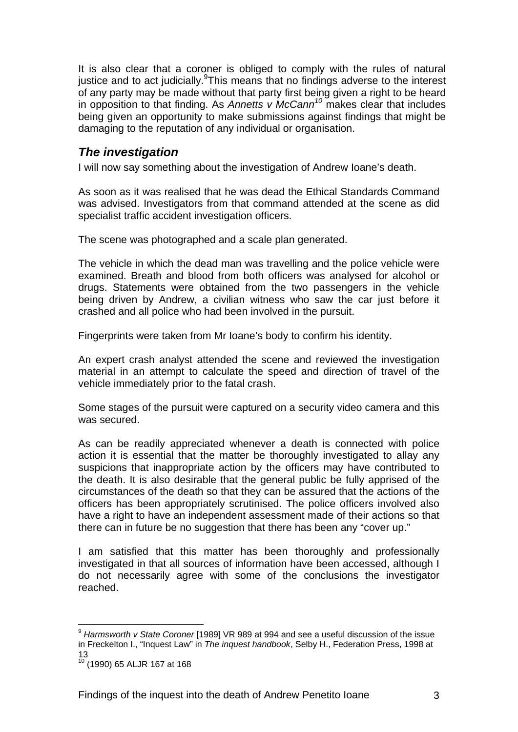It is also clear that a coroner is obliged to comply with the rules of natural justice and to act judicially. This means that no findings adverse to the interest of any party may be made without that party first being given a right to be heard in opposition to that finding. As *Annetts v McCann<sup>10</sup>* makes clear that includes being given an opportunity to make submissions against findings that might be damaging to the reputation of any individual or organisation.

# *The investigation*

I will now say something about the investigation of Andrew Ioane's death.

As soon as it was realised that he was dead the Ethical Standards Command was advised. Investigators from that command attended at the scene as did specialist traffic accident investigation officers.

The scene was photographed and a scale plan generated.

The vehicle in which the dead man was travelling and the police vehicle were examined. Breath and blood from both officers was analysed for alcohol or drugs. Statements were obtained from the two passengers in the vehicle being driven by Andrew, a civilian witness who saw the car just before it crashed and all police who had been involved in the pursuit.

Fingerprints were taken from Mr Ioane's body to confirm his identity.

An expert crash analyst attended the scene and reviewed the investigation material in an attempt to calculate the speed and direction of travel of the vehicle immediately prior to the fatal crash.

Some stages of the pursuit were captured on a security video camera and this was secured.

As can be readily appreciated whenever a death is connected with police action it is essential that the matter be thoroughly investigated to allay any suspicions that inappropriate action by the officers may have contributed to the death. It is also desirable that the general public be fully apprised of the circumstances of the death so that they can be assured that the actions of the officers has been appropriately scrutinised. The police officers involved also have a right to have an independent assessment made of their actions so that there can in future be no suggestion that there has been any "cover up."

I am satisfied that this matter has been thoroughly and professionally investigated in that all sources of information have been accessed, although I do not necessarily agree with some of the conclusions the investigator reached.

1

<sup>9</sup> *Harmsworth v State Coroner* [1989] VR 989 at 994 and see a useful discussion of the issue in Freckelton I., "Inquest Law" in *The inquest handbook*, Selby H., Federation Press, 1998 at 13

<sup>10 (1990) 65</sup> ALJR 167 at 168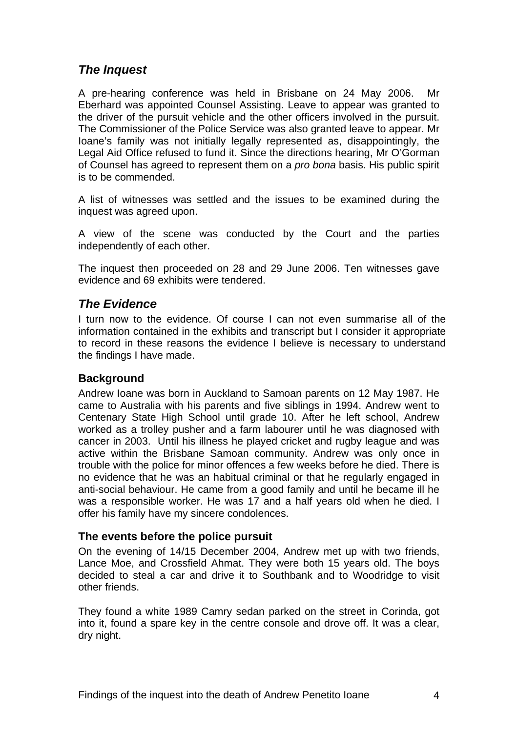# *The Inquest*

A pre-hearing conference was held in Brisbane on 24 May 2006. Mr Eberhard was appointed Counsel Assisting. Leave to appear was granted to the driver of the pursuit vehicle and the other officers involved in the pursuit. The Commissioner of the Police Service was also granted leave to appear. Mr Ioane's family was not initially legally represented as, disappointingly, the Legal Aid Office refused to fund it. Since the directions hearing, Mr O'Gorman of Counsel has agreed to represent them on a *pro bona* basis. His public spirit is to be commended.

A list of witnesses was settled and the issues to be examined during the inquest was agreed upon.

A view of the scene was conducted by the Court and the parties independently of each other.

The inquest then proceeded on 28 and 29 June 2006. Ten witnesses gave evidence and 69 exhibits were tendered.

### *The Evidence*

I turn now to the evidence. Of course I can not even summarise all of the information contained in the exhibits and transcript but I consider it appropriate to record in these reasons the evidence I believe is necessary to understand the findings I have made.

#### **Background**

Andrew Ioane was born in Auckland to Samoan parents on 12 May 1987. He came to Australia with his parents and five siblings in 1994. Andrew went to Centenary State High School until grade 10. After he left school, Andrew worked as a trolley pusher and a farm labourer until he was diagnosed with cancer in 2003. Until his illness he played cricket and rugby league and was active within the Brisbane Samoan community. Andrew was only once in trouble with the police for minor offences a few weeks before he died. There is no evidence that he was an habitual criminal or that he regularly engaged in anti-social behaviour. He came from a good family and until he became ill he was a responsible worker. He was 17 and a half years old when he died. I offer his family have my sincere condolences.

#### **The events before the police pursuit**

On the evening of 14/15 December 2004, Andrew met up with two friends, Lance Moe, and Crossfield Ahmat. They were both 15 years old. The boys decided to steal a car and drive it to Southbank and to Woodridge to visit other friends.

They found a white 1989 Camry sedan parked on the street in Corinda, got into it, found a spare key in the centre console and drove off. It was a clear, dry night.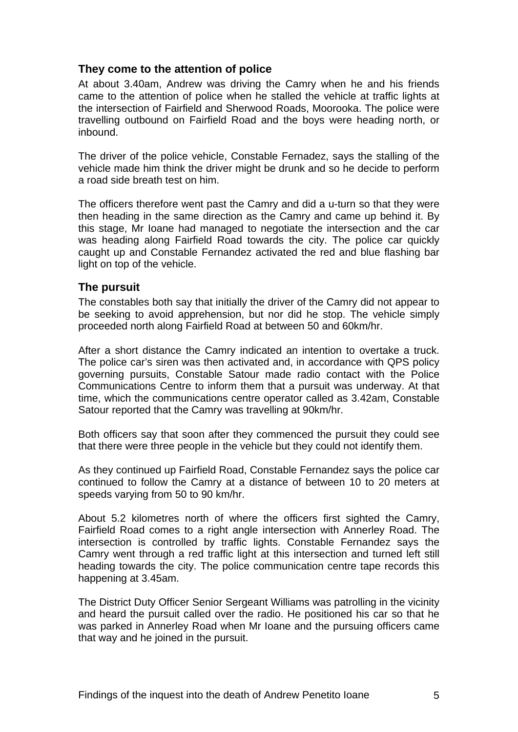#### **They come to the attention of police**

At about 3.40am, Andrew was driving the Camry when he and his friends came to the attention of police when he stalled the vehicle at traffic lights at the intersection of Fairfield and Sherwood Roads, Moorooka. The police were travelling outbound on Fairfield Road and the boys were heading north, or inbound.

The driver of the police vehicle, Constable Fernadez, says the stalling of the vehicle made him think the driver might be drunk and so he decide to perform a road side breath test on him.

The officers therefore went past the Camry and did a u-turn so that they were then heading in the same direction as the Camry and came up behind it. By this stage, Mr Ioane had managed to negotiate the intersection and the car was heading along Fairfield Road towards the city. The police car quickly caught up and Constable Fernandez activated the red and blue flashing bar light on top of the vehicle.

#### **The pursuit**

The constables both say that initially the driver of the Camry did not appear to be seeking to avoid apprehension, but nor did he stop. The vehicle simply proceeded north along Fairfield Road at between 50 and 60km/hr.

After a short distance the Camry indicated an intention to overtake a truck. The police car's siren was then activated and, in accordance with QPS policy governing pursuits, Constable Satour made radio contact with the Police Communications Centre to inform them that a pursuit was underway. At that time, which the communications centre operator called as 3.42am, Constable Satour reported that the Camry was travelling at 90km/hr.

Both officers say that soon after they commenced the pursuit they could see that there were three people in the vehicle but they could not identify them.

As they continued up Fairfield Road, Constable Fernandez says the police car continued to follow the Camry at a distance of between 10 to 20 meters at speeds varying from 50 to 90 km/hr.

About 5.2 kilometres north of where the officers first sighted the Camry, Fairfield Road comes to a right angle intersection with Annerley Road. The intersection is controlled by traffic lights. Constable Fernandez says the Camry went through a red traffic light at this intersection and turned left still heading towards the city. The police communication centre tape records this happening at 3.45am.

The District Duty Officer Senior Sergeant Williams was patrolling in the vicinity and heard the pursuit called over the radio. He positioned his car so that he was parked in Annerley Road when Mr Ioane and the pursuing officers came that way and he joined in the pursuit.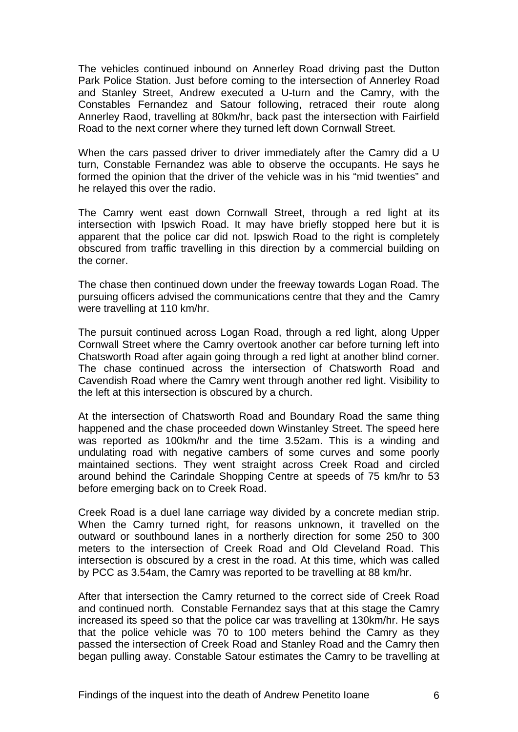The vehicles continued inbound on Annerley Road driving past the Dutton Park Police Station. Just before coming to the intersection of Annerley Road and Stanley Street, Andrew executed a U-turn and the Camry, with the Constables Fernandez and Satour following, retraced their route along Annerley Raod, travelling at 80km/hr, back past the intersection with Fairfield Road to the next corner where they turned left down Cornwall Street.

When the cars passed driver to driver immediately after the Camry did a U turn, Constable Fernandez was able to observe the occupants. He says he formed the opinion that the driver of the vehicle was in his "mid twenties" and he relayed this over the radio.

The Camry went east down Cornwall Street, through a red light at its intersection with Ipswich Road. It may have briefly stopped here but it is apparent that the police car did not. Ipswich Road to the right is completely obscured from traffic travelling in this direction by a commercial building on the corner.

The chase then continued down under the freeway towards Logan Road. The pursuing officers advised the communications centre that they and the Camry were travelling at 110 km/hr.

The pursuit continued across Logan Road, through a red light, along Upper Cornwall Street where the Camry overtook another car before turning left into Chatsworth Road after again going through a red light at another blind corner. The chase continued across the intersection of Chatsworth Road and Cavendish Road where the Camry went through another red light. Visibility to the left at this intersection is obscured by a church.

At the intersection of Chatsworth Road and Boundary Road the same thing happened and the chase proceeded down Winstanley Street. The speed here was reported as 100km/hr and the time 3.52am. This is a winding and undulating road with negative cambers of some curves and some poorly maintained sections. They went straight across Creek Road and circled around behind the Carindale Shopping Centre at speeds of 75 km/hr to 53 before emerging back on to Creek Road.

Creek Road is a duel lane carriage way divided by a concrete median strip. When the Camry turned right, for reasons unknown, it travelled on the outward or southbound lanes in a northerly direction for some 250 to 300 meters to the intersection of Creek Road and Old Cleveland Road. This intersection is obscured by a crest in the road. At this time, which was called by PCC as 3.54am, the Camry was reported to be travelling at 88 km/hr.

After that intersection the Camry returned to the correct side of Creek Road and continued north. Constable Fernandez says that at this stage the Camry increased its speed so that the police car was travelling at 130km/hr. He says that the police vehicle was 70 to 100 meters behind the Camry as they passed the intersection of Creek Road and Stanley Road and the Camry then began pulling away. Constable Satour estimates the Camry to be travelling at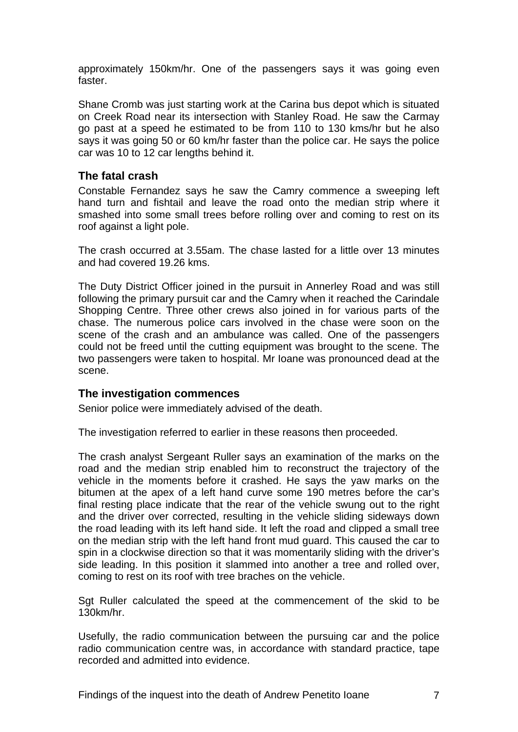approximately 150km/hr. One of the passengers says it was going even faster.

Shane Cromb was just starting work at the Carina bus depot which is situated on Creek Road near its intersection with Stanley Road. He saw the Carmay go past at a speed he estimated to be from 110 to 130 kms/hr but he also says it was going 50 or 60 km/hr faster than the police car. He says the police car was 10 to 12 car lengths behind it.

#### **The fatal crash**

Constable Fernandez says he saw the Camry commence a sweeping left hand turn and fishtail and leave the road onto the median strip where it smashed into some small trees before rolling over and coming to rest on its roof against a light pole.

The crash occurred at 3.55am. The chase lasted for a little over 13 minutes and had covered 19.26 kms.

The Duty District Officer joined in the pursuit in Annerley Road and was still following the primary pursuit car and the Camry when it reached the Carindale Shopping Centre. Three other crews also joined in for various parts of the chase. The numerous police cars involved in the chase were soon on the scene of the crash and an ambulance was called. One of the passengers could not be freed until the cutting equipment was brought to the scene. The two passengers were taken to hospital. Mr Ioane was pronounced dead at the scene.

#### **The investigation commences**

Senior police were immediately advised of the death.

The investigation referred to earlier in these reasons then proceeded.

The crash analyst Sergeant Ruller says an examination of the marks on the road and the median strip enabled him to reconstruct the trajectory of the vehicle in the moments before it crashed. He says the yaw marks on the bitumen at the apex of a left hand curve some 190 metres before the car's final resting place indicate that the rear of the vehicle swung out to the right and the driver over corrected, resulting in the vehicle sliding sideways down the road leading with its left hand side. It left the road and clipped a small tree on the median strip with the left hand front mud guard. This caused the car to spin in a clockwise direction so that it was momentarily sliding with the driver's side leading. In this position it slammed into another a tree and rolled over, coming to rest on its roof with tree braches on the vehicle.

Sgt Ruller calculated the speed at the commencement of the skid to be 130km/hr.

Usefully, the radio communication between the pursuing car and the police radio communication centre was, in accordance with standard practice, tape recorded and admitted into evidence.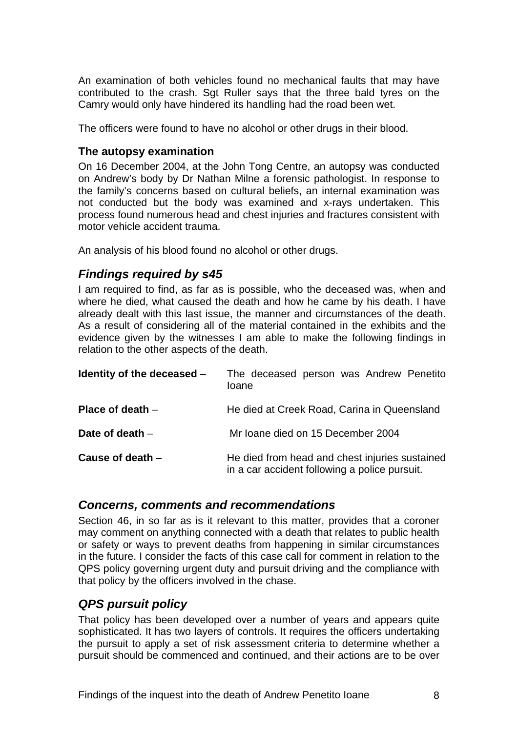An examination of both vehicles found no mechanical faults that may have contributed to the crash. Sgt Ruller says that the three bald tyres on the Camry would only have hindered its handling had the road been wet.

The officers were found to have no alcohol or other drugs in their blood.

#### **The autopsy examination**

On 16 December 2004, at the John Tong Centre, an autopsy was conducted on Andrew's body by Dr Nathan Milne a forensic pathologist. In response to the family's concerns based on cultural beliefs, an internal examination was not conducted but the body was examined and x-rays undertaken. This process found numerous head and chest injuries and fractures consistent with motor vehicle accident trauma.

An analysis of his blood found no alcohol or other drugs.

# *Findings required by s45*

I am required to find, as far as is possible, who the deceased was, when and where he died, what caused the death and how he came by his death. I have already dealt with this last issue, the manner and circumstances of the death. As a result of considering all of the material contained in the exhibits and the evidence given by the witnesses I am able to make the following findings in relation to the other aspects of the death.

| Identity of the deceased $-$ | The deceased person was Andrew Penetito<br>loane                                                |
|------------------------------|-------------------------------------------------------------------------------------------------|
| Place of death $-$           | He died at Creek Road, Carina in Queensland                                                     |
| Date of death $-$            | Mr Ioane died on 15 December 2004                                                               |
| Cause of death $-$           | He died from head and chest injuries sustained<br>in a car accident following a police pursuit. |

#### *Concerns, comments and recommendations*

Section 46, in so far as is it relevant to this matter, provides that a coroner may comment on anything connected with a death that relates to public health or safety or ways to prevent deaths from happening in similar circumstances in the future. I consider the facts of this case call for comment in relation to the QPS policy governing urgent duty and pursuit driving and the compliance with that policy by the officers involved in the chase.

# *QPS pursuit policy*

That policy has been developed over a number of years and appears quite sophisticated. It has two layers of controls. It requires the officers undertaking the pursuit to apply a set of risk assessment criteria to determine whether a pursuit should be commenced and continued, and their actions are to be over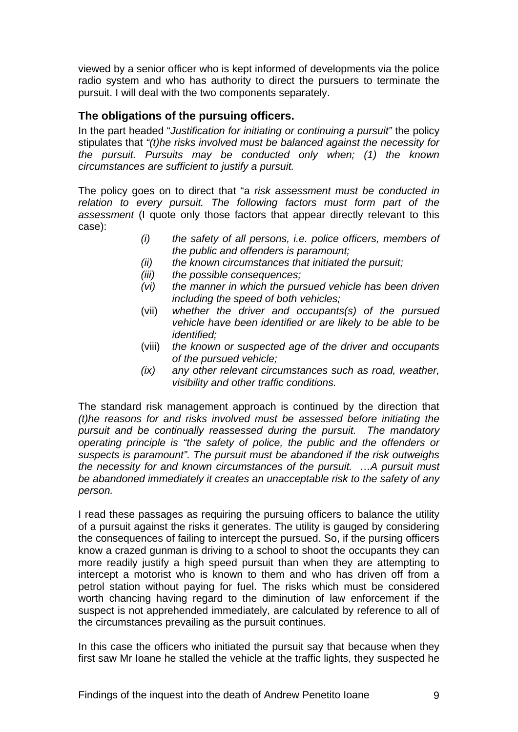viewed by a senior officer who is kept informed of developments via the police radio system and who has authority to direct the pursuers to terminate the pursuit. I will deal with the two components separately.

#### **The obligations of the pursuing officers.**

In the part headed "*Justification for initiating or continuing a pursuit"* the policy stipulates that *"(t)he risks involved must be balanced against the necessity for the pursuit. Pursuits may be conducted only when; (1) the known circumstances are sufficient to justify a pursuit.* 

The policy goes on to direct that "a *risk assessment must be conducted in relation to every pursuit. The following factors must form part of the assessment* (I quote only those factors that appear directly relevant to this case):

- *(i) the safety of all persons, i.e. police officers, members of the public and offenders is paramount;*
- *(ii) the known circumstances that initiated the pursuit;*
- *(iii) the possible consequences;*
- *(vi) the manner in which the pursued vehicle has been driven including the speed of both vehicles;*
- (vii) *whether the driver and occupants(s) of the pursued vehicle have been identified or are likely to be able to be identified;*
- (viii) *the known or suspected age of the driver and occupants of the pursued vehicle;*
- *(ix) any other relevant circumstances such as road, weather, visibility and other traffic conditions.*

The standard risk management approach is continued by the direction that *(t)he reasons for and risks involved must be assessed before initiating the pursuit and be continually reassessed during the pursuit. The mandatory operating principle is "the safety of police, the public and the offenders or suspects is paramount". The pursuit must be abandoned if the risk outweighs the necessity for and known circumstances of the pursuit. …A pursuit must be abandoned immediately it creates an unacceptable risk to the safety of any person.* 

I read these passages as requiring the pursuing officers to balance the utility of a pursuit against the risks it generates. The utility is gauged by considering the consequences of failing to intercept the pursued. So, if the pursing officers know a crazed gunman is driving to a school to shoot the occupants they can more readily justify a high speed pursuit than when they are attempting to intercept a motorist who is known to them and who has driven off from a petrol station without paying for fuel. The risks which must be considered worth chancing having regard to the diminution of law enforcement if the suspect is not apprehended immediately, are calculated by reference to all of the circumstances prevailing as the pursuit continues.

In this case the officers who initiated the pursuit say that because when they first saw Mr Ioane he stalled the vehicle at the traffic lights, they suspected he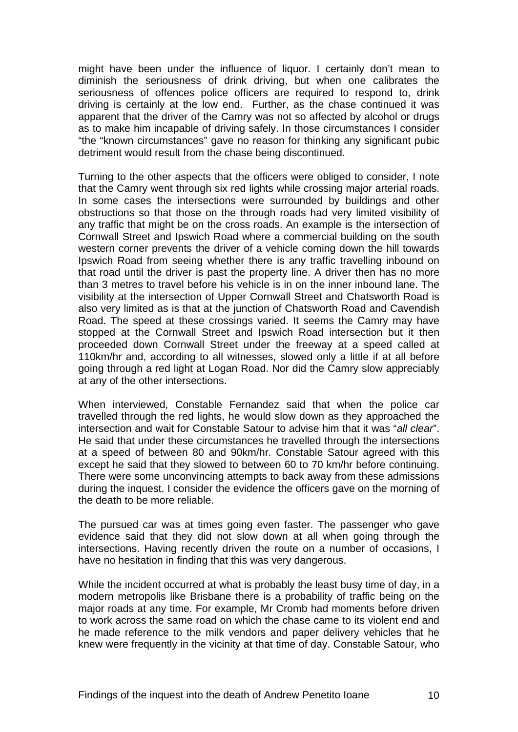might have been under the influence of liquor. I certainly don't mean to diminish the seriousness of drink driving, but when one calibrates the seriousness of offences police officers are required to respond to, drink driving is certainly at the low end. Further, as the chase continued it was apparent that the driver of the Camry was not so affected by alcohol or drugs as to make him incapable of driving safely. In those circumstances I consider "the "known circumstances" gave no reason for thinking any significant pubic detriment would result from the chase being discontinued.

Turning to the other aspects that the officers were obliged to consider, I note that the Camry went through six red lights while crossing major arterial roads. In some cases the intersections were surrounded by buildings and other obstructions so that those on the through roads had very limited visibility of any traffic that might be on the cross roads. An example is the intersection of Cornwall Street and Ipswich Road where a commercial building on the south western corner prevents the driver of a vehicle coming down the hill towards Ipswich Road from seeing whether there is any traffic travelling inbound on that road until the driver is past the property line. A driver then has no more than 3 metres to travel before his vehicle is in on the inner inbound lane. The visibility at the intersection of Upper Cornwall Street and Chatsworth Road is also very limited as is that at the junction of Chatsworth Road and Cavendish Road. The speed at these crossings varied. It seems the Camry may have stopped at the Cornwall Street and Ipswich Road intersection but it then proceeded down Cornwall Street under the freeway at a speed called at 110km/hr and, according to all witnesses, slowed only a little if at all before going through a red light at Logan Road. Nor did the Camry slow appreciably at any of the other intersections.

When interviewed, Constable Fernandez said that when the police car travelled through the red lights, he would slow down as they approached the intersection and wait for Constable Satour to advise him that it was "*all clear*". He said that under these circumstances he travelled through the intersections at a speed of between 80 and 90km/hr. Constable Satour agreed with this except he said that they slowed to between 60 to 70 km/hr before continuing. There were some unconvincing attempts to back away from these admissions during the inquest. I consider the evidence the officers gave on the morning of the death to be more reliable.

The pursued car was at times going even faster. The passenger who gave evidence said that they did not slow down at all when going through the intersections. Having recently driven the route on a number of occasions, I have no hesitation in finding that this was very dangerous.

While the incident occurred at what is probably the least busy time of day, in a modern metropolis like Brisbane there is a probability of traffic being on the major roads at any time. For example, Mr Cromb had moments before driven to work across the same road on which the chase came to its violent end and he made reference to the milk vendors and paper delivery vehicles that he knew were frequently in the vicinity at that time of day. Constable Satour, who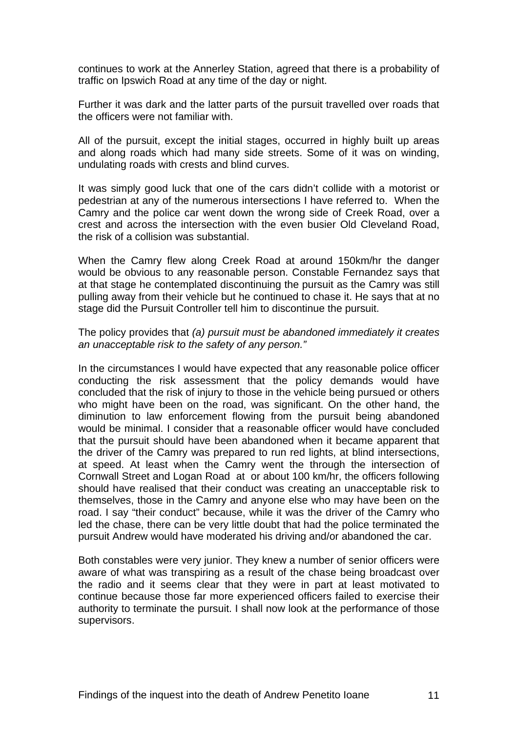continues to work at the Annerley Station, agreed that there is a probability of traffic on Ipswich Road at any time of the day or night.

Further it was dark and the latter parts of the pursuit travelled over roads that the officers were not familiar with.

All of the pursuit, except the initial stages, occurred in highly built up areas and along roads which had many side streets. Some of it was on winding, undulating roads with crests and blind curves.

It was simply good luck that one of the cars didn't collide with a motorist or pedestrian at any of the numerous intersections I have referred to. When the Camry and the police car went down the wrong side of Creek Road, over a crest and across the intersection with the even busier Old Cleveland Road, the risk of a collision was substantial.

When the Camry flew along Creek Road at around 150km/hr the danger would be obvious to any reasonable person. Constable Fernandez says that at that stage he contemplated discontinuing the pursuit as the Camry was still pulling away from their vehicle but he continued to chase it. He says that at no stage did the Pursuit Controller tell him to discontinue the pursuit.

#### The policy provides that *(a) pursuit must be abandoned immediately it creates an unacceptable risk to the safety of any person."*

In the circumstances I would have expected that any reasonable police officer conducting the risk assessment that the policy demands would have concluded that the risk of injury to those in the vehicle being pursued or others who might have been on the road, was significant. On the other hand, the diminution to law enforcement flowing from the pursuit being abandoned would be minimal. I consider that a reasonable officer would have concluded that the pursuit should have been abandoned when it became apparent that the driver of the Camry was prepared to run red lights, at blind intersections, at speed. At least when the Camry went the through the intersection of Cornwall Street and Logan Road at or about 100 km/hr, the officers following should have realised that their conduct was creating an unacceptable risk to themselves, those in the Camry and anyone else who may have been on the road. I say "their conduct" because, while it was the driver of the Camry who led the chase, there can be very little doubt that had the police terminated the pursuit Andrew would have moderated his driving and/or abandoned the car.

Both constables were very junior. They knew a number of senior officers were aware of what was transpiring as a result of the chase being broadcast over the radio and it seems clear that they were in part at least motivated to continue because those far more experienced officers failed to exercise their authority to terminate the pursuit. I shall now look at the performance of those supervisors.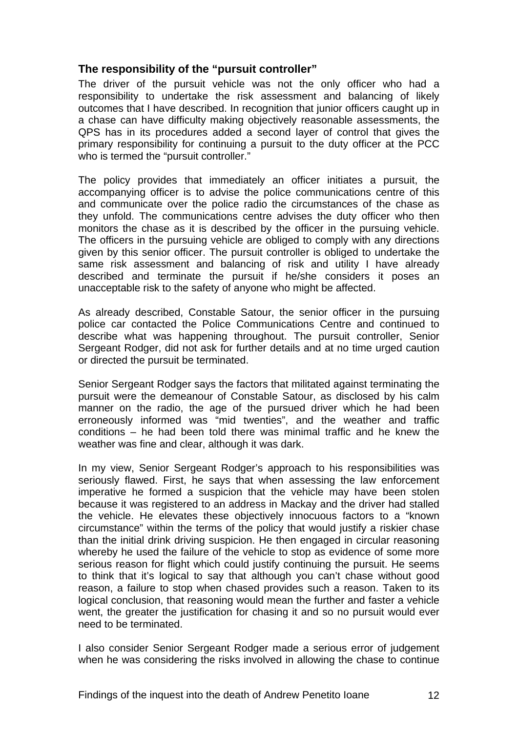#### **The responsibility of the "pursuit controller"**

The driver of the pursuit vehicle was not the only officer who had a responsibility to undertake the risk assessment and balancing of likely outcomes that I have described. In recognition that junior officers caught up in a chase can have difficulty making objectively reasonable assessments, the QPS has in its procedures added a second layer of control that gives the primary responsibility for continuing a pursuit to the duty officer at the PCC who is termed the "pursuit controller."

The policy provides that immediately an officer initiates a pursuit, the accompanying officer is to advise the police communications centre of this and communicate over the police radio the circumstances of the chase as they unfold. The communications centre advises the duty officer who then monitors the chase as it is described by the officer in the pursuing vehicle. The officers in the pursuing vehicle are obliged to comply with any directions given by this senior officer. The pursuit controller is obliged to undertake the same risk assessment and balancing of risk and utility I have already described and terminate the pursuit if he/she considers it poses an unacceptable risk to the safety of anyone who might be affected.

As already described, Constable Satour, the senior officer in the pursuing police car contacted the Police Communications Centre and continued to describe what was happening throughout. The pursuit controller, Senior Sergeant Rodger, did not ask for further details and at no time urged caution or directed the pursuit be terminated.

Senior Sergeant Rodger says the factors that militated against terminating the pursuit were the demeanour of Constable Satour, as disclosed by his calm manner on the radio, the age of the pursued driver which he had been erroneously informed was "mid twenties", and the weather and traffic conditions – he had been told there was minimal traffic and he knew the weather was fine and clear, although it was dark.

In my view, Senior Sergeant Rodger's approach to his responsibilities was seriously flawed. First, he says that when assessing the law enforcement imperative he formed a suspicion that the vehicle may have been stolen because it was registered to an address in Mackay and the driver had stalled the vehicle. He elevates these objectively innocuous factors to a "known circumstance" within the terms of the policy that would justify a riskier chase than the initial drink driving suspicion. He then engaged in circular reasoning whereby he used the failure of the vehicle to stop as evidence of some more serious reason for flight which could justify continuing the pursuit. He seems to think that it's logical to say that although you can't chase without good reason, a failure to stop when chased provides such a reason. Taken to its logical conclusion, that reasoning would mean the further and faster a vehicle went, the greater the justification for chasing it and so no pursuit would ever need to be terminated.

I also consider Senior Sergeant Rodger made a serious error of judgement when he was considering the risks involved in allowing the chase to continue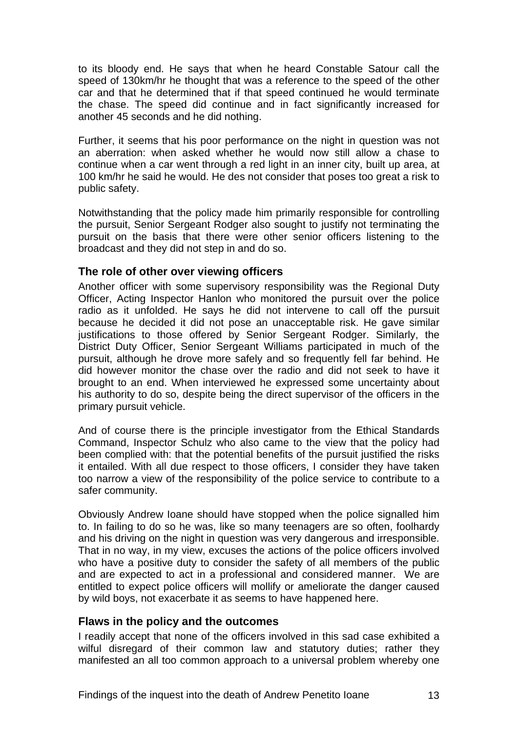to its bloody end. He says that when he heard Constable Satour call the speed of 130km/hr he thought that was a reference to the speed of the other car and that he determined that if that speed continued he would terminate the chase. The speed did continue and in fact significantly increased for another 45 seconds and he did nothing.

Further, it seems that his poor performance on the night in question was not an aberration: when asked whether he would now still allow a chase to continue when a car went through a red light in an inner city, built up area, at 100 km/hr he said he would. He des not consider that poses too great a risk to public safety.

Notwithstanding that the policy made him primarily responsible for controlling the pursuit, Senior Sergeant Rodger also sought to justify not terminating the pursuit on the basis that there were other senior officers listening to the broadcast and they did not step in and do so.

#### **The role of other over viewing officers**

Another officer with some supervisory responsibility was the Regional Duty Officer, Acting Inspector Hanlon who monitored the pursuit over the police radio as it unfolded. He says he did not intervene to call off the pursuit because he decided it did not pose an unacceptable risk. He gave similar justifications to those offered by Senior Sergeant Rodger. Similarly, the District Duty Officer, Senior Sergeant Williams participated in much of the pursuit, although he drove more safely and so frequently fell far behind. He did however monitor the chase over the radio and did not seek to have it brought to an end. When interviewed he expressed some uncertainty about his authority to do so, despite being the direct supervisor of the officers in the primary pursuit vehicle.

And of course there is the principle investigator from the Ethical Standards Command, Inspector Schulz who also came to the view that the policy had been complied with: that the potential benefits of the pursuit justified the risks it entailed. With all due respect to those officers, I consider they have taken too narrow a view of the responsibility of the police service to contribute to a safer community.

Obviously Andrew Ioane should have stopped when the police signalled him to. In failing to do so he was, like so many teenagers are so often, foolhardy and his driving on the night in question was very dangerous and irresponsible. That in no way, in my view, excuses the actions of the police officers involved who have a positive duty to consider the safety of all members of the public and are expected to act in a professional and considered manner. We are entitled to expect police officers will mollify or ameliorate the danger caused by wild boys, not exacerbate it as seems to have happened here.

#### **Flaws in the policy and the outcomes**

I readily accept that none of the officers involved in this sad case exhibited a wilful disregard of their common law and statutory duties; rather they manifested an all too common approach to a universal problem whereby one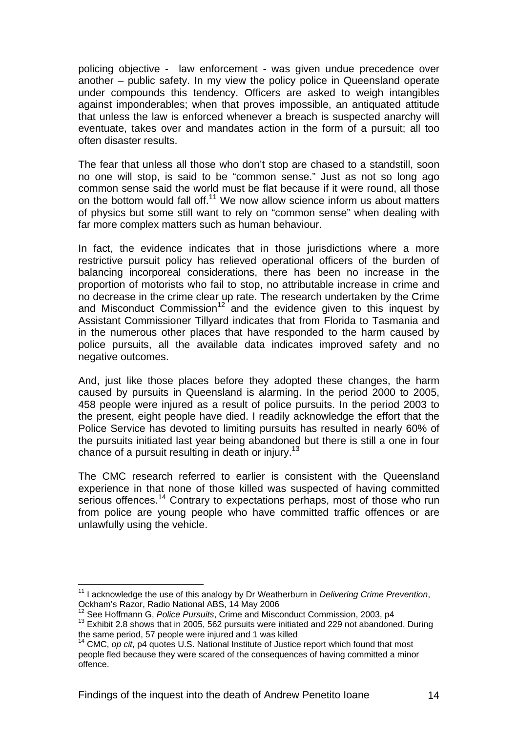policing objective - law enforcement - was given undue precedence over another – public safety. In my view the policy police in Queensland operate under compounds this tendency. Officers are asked to weigh intangibles against imponderables; when that proves impossible, an antiquated attitude that unless the law is enforced whenever a breach is suspected anarchy will eventuate, takes over and mandates action in the form of a pursuit; all too often disaster results.

The fear that unless all those who don't stop are chased to a standstill, soon no one will stop, is said to be "common sense." Just as not so long ago common sense said the world must be flat because if it were round, all those on the bottom would fall off.<sup>11</sup> We now allow science inform us about matters of physics but some still want to rely on "common sense" when dealing with far more complex matters such as human behaviour.

In fact, the evidence indicates that in those jurisdictions where a more restrictive pursuit policy has relieved operational officers of the burden of balancing incorporeal considerations, there has been no increase in the proportion of motorists who fail to stop, no attributable increase in crime and no decrease in the crime clear up rate. The research undertaken by the Crime and Misconduct Commission<sup>12</sup> and the evidence given to this inquest by Assistant Commissioner Tillyard indicates that from Florida to Tasmania and in the numerous other places that have responded to the harm caused by police pursuits, all the available data indicates improved safety and no negative outcomes.

And, just like those places before they adopted these changes, the harm caused by pursuits in Queensland is alarming. In the period 2000 to 2005, 458 people were injured as a result of police pursuits. In the period 2003 to the present, eight people have died. I readily acknowledge the effort that the Police Service has devoted to limiting pursuits has resulted in nearly 60% of the pursuits initiated last year being abandoned but there is still a one in four chance of a pursuit resulting in death or injury.<sup>13</sup>

The CMC research referred to earlier is consistent with the Queensland experience in that none of those killed was suspected of having committed serious offences.<sup>14</sup> Contrary to expectations perhaps, most of those who run from police are young people who have committed traffic offences or are unlawfully using the vehicle.

<sup>&</sup>lt;u>.</u> 11 I acknowledge the use of this analogy by Dr Weatherburn in *Delivering Crime Prevention*, Ockham's Razor, Radio National ABS, 14 May 2006<br><sup>12</sup> See Hoffmann G, Police Pursuits, Crime and Misconduct Commission, 2003, p4

<sup>&</sup>lt;sup>13</sup> Exhibit 2.8 shows that in 2005, 562 pursuits were initiated and 229 not abandoned. During the same period, 57 people were injured and 1 was killed

<sup>&</sup>lt;sup>14</sup> CMC, *op cit*, p4 quotes U.S. National Institute of Justice report which found that most people fled because they were scared of the consequences of having committed a minor offence.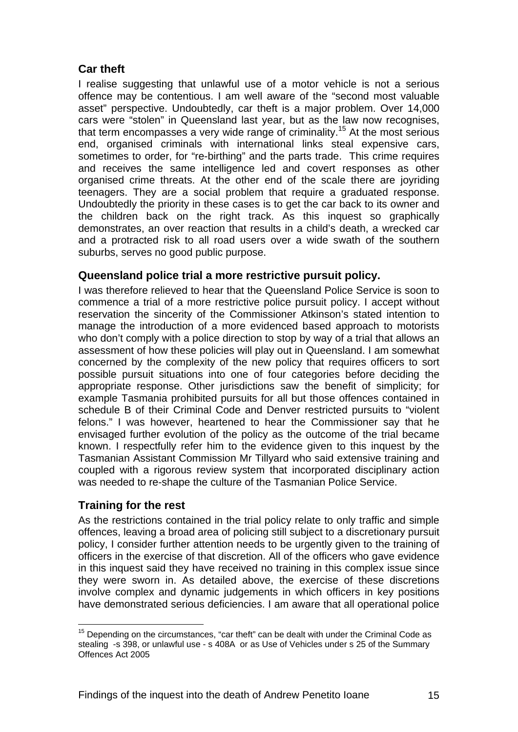# **Car theft**

I realise suggesting that unlawful use of a motor vehicle is not a serious offence may be contentious. I am well aware of the "second most valuable asset" perspective. Undoubtedly, car theft is a major problem. Over 14,000 cars were "stolen" in Queensland last year, but as the law now recognises, that term encompasses a very wide range of criminality.<sup>15</sup> At the most serious end, organised criminals with international links steal expensive cars, sometimes to order, for "re-birthing" and the parts trade. This crime requires and receives the same intelligence led and covert responses as other organised crime threats. At the other end of the scale there are joyriding teenagers. They are a social problem that require a graduated response. Undoubtedly the priority in these cases is to get the car back to its owner and the children back on the right track. As this inquest so graphically demonstrates, an over reaction that results in a child's death, a wrecked car and a protracted risk to all road users over a wide swath of the southern suburbs, serves no good public purpose.

# **Queensland police trial a more restrictive pursuit policy.**

I was therefore relieved to hear that the Queensland Police Service is soon to commence a trial of a more restrictive police pursuit policy. I accept without reservation the sincerity of the Commissioner Atkinson's stated intention to manage the introduction of a more evidenced based approach to motorists who don't comply with a police direction to stop by way of a trial that allows an assessment of how these policies will play out in Queensland. I am somewhat concerned by the complexity of the new policy that requires officers to sort possible pursuit situations into one of four categories before deciding the appropriate response. Other jurisdictions saw the benefit of simplicity; for example Tasmania prohibited pursuits for all but those offences contained in schedule B of their Criminal Code and Denver restricted pursuits to "violent felons." I was however, heartened to hear the Commissioner say that he envisaged further evolution of the policy as the outcome of the trial became known. I respectfully refer him to the evidence given to this inquest by the Tasmanian Assistant Commission Mr Tillyard who said extensive training and coupled with a rigorous review system that incorporated disciplinary action was needed to re-shape the culture of the Tasmanian Police Service.

#### **Training for the rest**

1

As the restrictions contained in the trial policy relate to only traffic and simple offences, leaving a broad area of policing still subject to a discretionary pursuit policy, I consider further attention needs to be urgently given to the training of officers in the exercise of that discretion. All of the officers who gave evidence in this inquest said they have received no training in this complex issue since they were sworn in. As detailed above, the exercise of these discretions involve complex and dynamic judgements in which officers in key positions have demonstrated serious deficiencies. I am aware that all operational police

 $15$  Depending on the circumstances, "car theft" can be dealt with under the Criminal Code as stealing -s 398, or unlawful use - s 408A or as Use of Vehicles under s 25 of the Summary Offences Act 2005